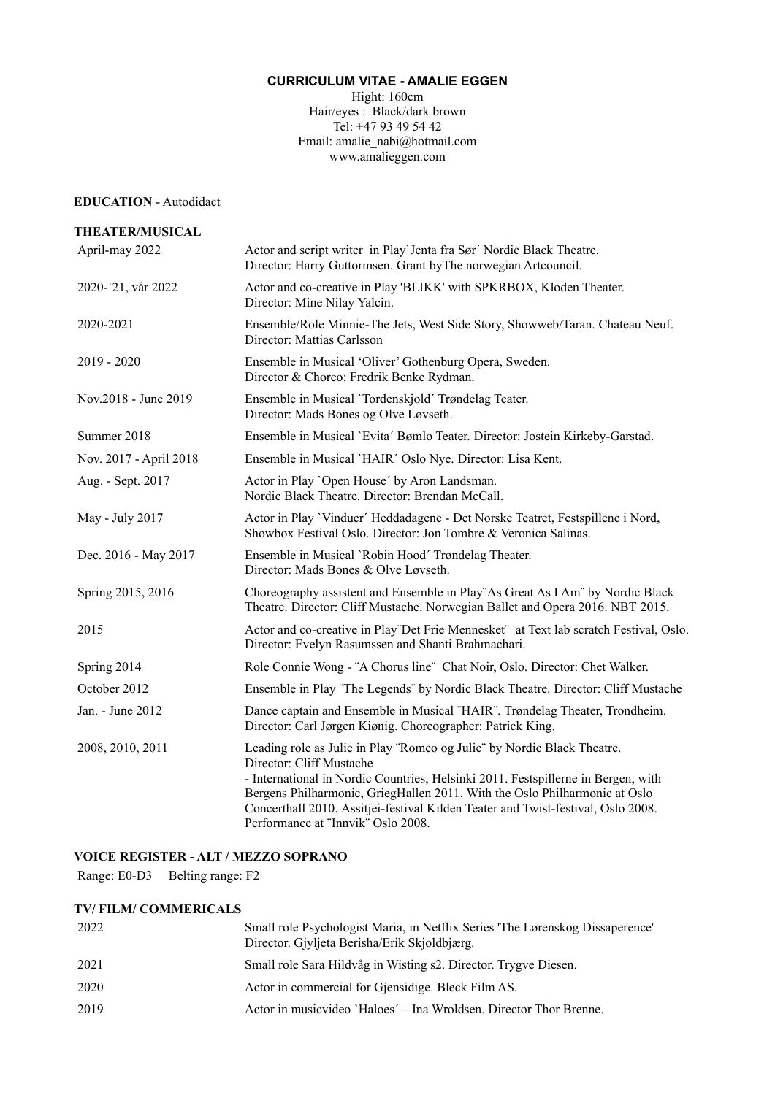# **CURRICULUM VITAE - AMALIE EGGEN**

Hight: 160cm Hair/eyes : Black/dark brown Tel: +47 93 49 54 42 Email: amalie\_nabi@hotmail.com www.amalieggen.com

#### **EDUCATION** - Autodidact

| <b>THEATER/MUSICAL</b> |                                                                                                                                                                                                                                                                                                                                                                                                  |
|------------------------|--------------------------------------------------------------------------------------------------------------------------------------------------------------------------------------------------------------------------------------------------------------------------------------------------------------------------------------------------------------------------------------------------|
| April-may 2022         | Actor and script writer in Play'Jenta fra Sør' Nordic Black Theatre.<br>Director: Harry Guttormsen. Grant byThe norwegian Artcouncil.                                                                                                                                                                                                                                                            |
| 2020-'21, vår 2022     | Actor and co-creative in Play 'BLIKK' with SPKRBOX, Kloden Theater.<br>Director: Mine Nilay Yalcin.                                                                                                                                                                                                                                                                                              |
| 2020-2021              | Ensemble/Role Minnie-The Jets, West Side Story, Showweb/Taran. Chateau Neuf.<br>Director: Mattias Carlsson                                                                                                                                                                                                                                                                                       |
| $2019 - 2020$          | Ensemble in Musical 'Oliver' Gothenburg Opera, Sweden.<br>Director & Choreo: Fredrik Benke Rydman.                                                                                                                                                                                                                                                                                               |
| Nov.2018 - June 2019   | Ensemble in Musical 'Tordenskjold' Trøndelag Teater.<br>Director: Mads Bones og Olve Løvseth.                                                                                                                                                                                                                                                                                                    |
| Summer 2018            | Ensemble in Musical 'Evita' Bømlo Teater. Director: Jostein Kirkeby-Garstad.                                                                                                                                                                                                                                                                                                                     |
| Nov. 2017 - April 2018 | Ensemble in Musical 'HAIR' Oslo Nye. Director: Lisa Kent.                                                                                                                                                                                                                                                                                                                                        |
| Aug. - Sept. 2017      | Actor in Play 'Open House' by Aron Landsman.<br>Nordic Black Theatre. Director: Brendan McCall.                                                                                                                                                                                                                                                                                                  |
| May - July 2017        | Actor in Play 'Vinduer' Heddadagene - Det Norske Teatret, Festspillene i Nord,<br>Showbox Festival Oslo. Director: Jon Tombre & Veronica Salinas.                                                                                                                                                                                                                                                |
| Dec. 2016 - May 2017   | Ensemble in Musical `Robin Hood' Trøndelag Theater.<br>Director: Mads Bones & Olve Løvseth.                                                                                                                                                                                                                                                                                                      |
| Spring 2015, 2016      | Choreography assistent and Ensemble in Play"As Great As I Am" by Nordic Black<br>Theatre. Director: Cliff Mustache. Norwegian Ballet and Opera 2016. NBT 2015.                                                                                                                                                                                                                                   |
| 2015                   | Actor and co-creative in Play"Det Frie Mennesket" at Text lab scratch Festival, Oslo.<br>Director: Evelyn Rasumssen and Shanti Brahmachari.                                                                                                                                                                                                                                                      |
| Spring 2014            | Role Connie Wong - "A Chorus line" Chat Noir, Oslo. Director: Chet Walker.                                                                                                                                                                                                                                                                                                                       |
| October 2012           | Ensemble in Play "The Legends" by Nordic Black Theatre. Director: Cliff Mustache                                                                                                                                                                                                                                                                                                                 |
| Jan. - June 2012       | Dance captain and Ensemble in Musical "HAIR". Trøndelag Theater, Trondheim.<br>Director: Carl Jørgen Kiønig. Choreographer: Patrick King.                                                                                                                                                                                                                                                        |
| 2008, 2010, 2011       | Leading role as Julie in Play "Romeo og Julie" by Nordic Black Theatre.<br>Director: Cliff Mustache<br>- International in Nordic Countries, Helsinki 2011. Festspillerne in Bergen, with<br>Bergens Philharmonic, GriegHallen 2011. With the Oslo Philharmonic at Oslo<br>Concerthall 2010. Assitjei-festival Kilden Teater and Twist-festival, Oslo 2008.<br>Performance at "Innvik" Oslo 2008. |

## **VOICE REGISTER - ALT / MEZZO SOPRANO**

Range: E0-D3 Belting range: F2

# **TV/ FILM/ COMMERICALS**

| 2022 | Small role Psychologist Maria, in Netflix Series 'The Lørenskog Dissaperence'<br>Director. Gjyljeta Berisha/Erik Skjoldbjærg. |
|------|-------------------------------------------------------------------------------------------------------------------------------|
| 2021 | Small role Sara Hildvåg in Wisting s2. Director. Trygve Diesen.                                                               |
| 2020 | Actor in commercial for Gjensidige. Bleck Film AS.                                                                            |
| 2019 | Actor in musicvideo 'Haloes' – Ina Wroldsen. Director Thor Brenne.                                                            |